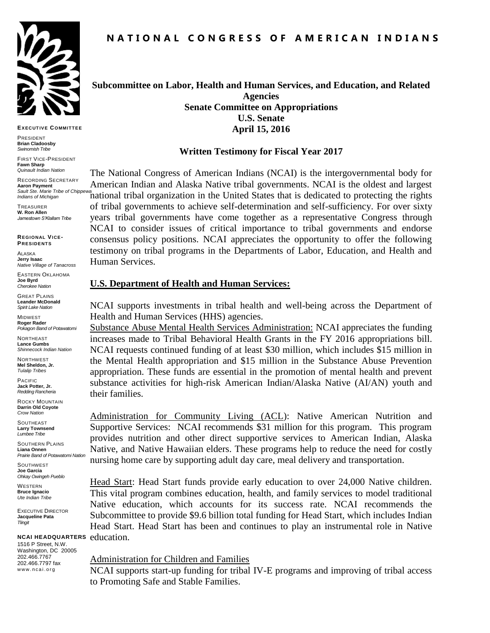

**EXECUT IVE COMMIT TEE**

PRESIDENT **Brian Cladoosby** *Swinomish Tribe*

FIRST VICE-PRESIDENT **Fawn Sharp** *Quinault Indian Nation*

RECORDING SECRETARY **Aaron Payment** *Sault Ste. Marie Tribe of Chippewa Indians of Michigan*

**TREASURER W. Ron Allen** *Jamestown S'Klallam Tribe*

**REGIONAL VICE-PRESIDENT S**

ALASKA **Jerry Isaac** *Native Village of Tanacross*

EASTERN OKLAHOMA **Joe Byrd** *Cherokee Nation*

GREAT PLAINS **Leander McDonald** *Spirit Lake Nation*

MIDWEST **Roger Rader** *Pokagon Band of Potawatomi* 

NORTHEAST **Lance Gumbs** *Shinnecock Indian Nation*

NORTHWEST **Mel Sheldon, Jr.** *Tulalip Tribes*

PACIFIC **Jack Potter, Jr.** *Redding Rancheria*

ROCKY MOUNTAIN **Darrin Old Coyote** *Crow Nation*

SOUTHEAST **Larry Townsend** *Lumbee Tribe*

SOUTHERN PLAINS **Liana Onnen** *Prairie Band of Potawatomi Nation* 

**SOUTHWEST Joe Garcia** *Ohkay Owingeh Pueblo* **WESTERN** 

**Bruce Ignacio** *Ute Indian Tribe*

EXECUTIVE DIRECTOR **Jacqueline Pata** *Tlingit*

**NCAI HEADQUARTERS** education.

1516 P Street, N.W. Washington, DC 20005 202.466.7767 202.466.7797 fax www.ncai.org

## **Subcommittee on Labor, Health and Human Services, and Education, and Related Agencies Senate Committee on Appropriations U.S. Senate April 15, 2016**

#### **Written Testimony for Fiscal Year 2017**

The National Congress of American Indians (NCAI) is the intergovernmental body for American Indian and Alaska Native tribal governments. NCAI is the oldest and largest national tribal organization in the United States that is dedicated to protecting the rights of tribal governments to achieve self-determination and self-sufficiency. For over sixty years tribal governments have come together as a representative Congress through NCAI to consider issues of critical importance to tribal governments and endorse consensus policy positions. NCAI appreciates the opportunity to offer the following testimony on tribal programs in the Departments of Labor, Education, and Health and Human Services.

#### **U.S. Department of Health and Human Services:**

NCAI supports investments in tribal health and well-being across the Department of Health and Human Services (HHS) agencies.

Substance Abuse Mental Health Services Administration: NCAI appreciates the funding increases made to Tribal Behavioral Health Grants in the FY 2016 appropriations bill. NCAI requests continued funding of at least \$30 million, which includes \$15 million in the Mental Health appropriation and \$15 million in the Substance Abuse Prevention appropriation. These funds are essential in the promotion of mental health and prevent substance activities for high-risk American Indian/Alaska Native (AI/AN) youth and their families.

Administration for Community Living (ACL): Native American Nutrition and Supportive Services: NCAI recommends \$31 million for this program. This program provides nutrition and other direct supportive services to American Indian, Alaska Native, and Native Hawaiian elders. These programs help to reduce the need for costly nursing home care by supporting adult day care, meal delivery and transportation.

Head Start: Head Start funds provide early education to over 24,000 Native children. This vital program combines education, health, and family services to model traditional Native education, which accounts for its success rate. NCAI recommends the Subcommittee to provide \$9.6 billion total funding for Head Start, which includes Indian Head Start. Head Start has been and continues to play an instrumental role in Native

## Administration for Children and Families

NCAI supports start-up funding for tribal IV-E programs and improving of tribal access to Promoting Safe and Stable Families.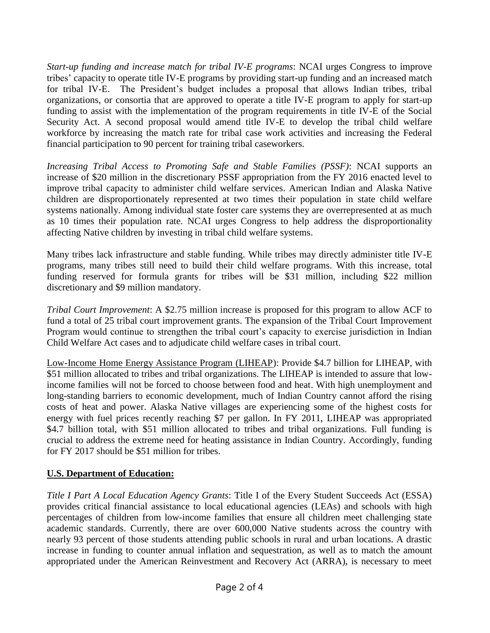*Start-up funding and increase match for tribal IV-E programs*: NCAI urges Congress to improve tribes' capacity to operate title IV-E programs by providing start-up funding and an increased match for tribal IV-E. The President's budget includes a proposal that allows Indian tribes, tribal organizations, or consortia that are approved to operate a title IV-E program to apply for start-up funding to assist with the implementation of the program requirements in title IV-E of the Social Security Act. A second proposal would amend title IV-E to develop the tribal child welfare workforce by increasing the match rate for tribal case work activities and increasing the Federal financial participation to 90 percent for training tribal caseworkers.

*Increasing Tribal Access to Promoting Safe and Stable Families (PSSF)*: NCAI supports an increase of \$20 million in the discretionary PSSF appropriation from the FY 2016 enacted level to improve tribal capacity to administer child welfare services. American Indian and Alaska Native children are disproportionately represented at two times their population in state child welfare systems nationally. Among individual state foster care systems they are overrepresented at as much as 10 times their population rate. NCAI urges Congress to help address the disproportionality affecting Native children by investing in tribal child welfare systems.

Many tribes lack infrastructure and stable funding. While tribes may directly administer title IV-E programs, many tribes still need to build their child welfare programs. With this increase, total funding reserved for formula grants for tribes will be \$31 million, including \$22 million discretionary and \$9 million mandatory.

*Tribal Court Improvement*: A \$2.75 million increase is proposed for this program to allow ACF to fund a total of 25 tribal court improvement grants. The expansion of the Tribal Court Improvement Program would continue to strengthen the tribal court's capacity to exercise jurisdiction in Indian Child Welfare Act cases and to adjudicate child welfare cases in tribal court.

Low-Income Home Energy Assistance Program (LIHEAP): Provide \$4.7 billion for LIHEAP, with \$51 million allocated to tribes and tribal organizations. The LIHEAP is intended to assure that lowincome families will not be forced to choose between food and heat. With high unemployment and long-standing barriers to economic development, much of Indian Country cannot afford the rising costs of heat and power. Alaska Native villages are experiencing some of the highest costs for energy with fuel prices recently reaching \$7 per gallon. In FY 2011, LIHEAP was appropriated \$4.7 billion total, with \$51 million allocated to tribes and tribal organizations. Full funding is crucial to address the extreme need for heating assistance in Indian Country. Accordingly, funding for FY 2017 should be \$51 million for tribes.

## **U.S. Department of Education:**

*Title I Part A Local Education Agency Grants*: Title I of the Every Student Succeeds Act (ESSA) provides critical financial assistance to local educational agencies (LEAs) and schools with high percentages of children from low-income families that ensure all children meet challenging state academic standards. Currently, there are over 600,000 Native students across the country with nearly 93 percent of those students attending public schools in rural and urban locations. A drastic increase in funding to counter annual inflation and sequestration, as well as to match the amount appropriated under the American Reinvestment and Recovery Act (ARRA), is necessary to meet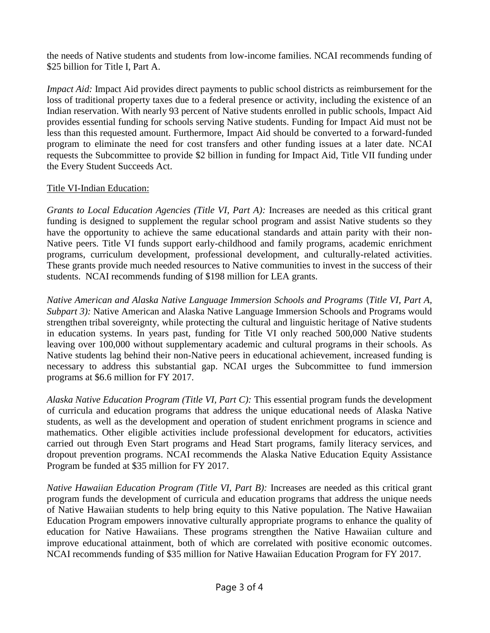the needs of Native students and students from low-income families. NCAI recommends funding of \$25 billion for Title I. Part A.

*Impact Aid:* Impact Aid provides direct payments to public school districts as reimbursement for the loss of traditional property taxes due to a federal presence or activity, including the existence of an Indian reservation. With nearly 93 percent of Native students enrolled in public schools, Impact Aid provides essential funding for schools serving Native students. Funding for Impact Aid must not be less than this requested amount. Furthermore, Impact Aid should be converted to a forward-funded program to eliminate the need for cost transfers and other funding issues at a later date. NCAI requests the Subcommittee to provide \$2 billion in funding for Impact Aid, Title VII funding under the Every Student Succeeds Act.

# Title VI-Indian Education:

*Grants to Local Education Agencies (Title VI, Part A):* Increases are needed as this critical grant funding is designed to supplement the regular school program and assist Native students so they have the opportunity to achieve the same educational standards and attain parity with their non-Native peers. Title VI funds support early-childhood and family programs, academic enrichment programs, curriculum development, professional development, and culturally-related activities. These grants provide much needed resources to Native communities to invest in the success of their students. NCAI recommends funding of \$198 million for LEA grants.

*Native American and Alaska Native Language Immersion Schools and Programs* (*Title VI, Part A, Subpart 3*): Native American and Alaska Native Language Immersion Schools and Programs would strengthen tribal sovereignty, while protecting the cultural and linguistic heritage of Native students in education systems. In years past, funding for Title VI only reached 500,000 Native students leaving over 100,000 without supplementary academic and cultural programs in their schools. As Native students lag behind their non-Native peers in educational achievement, increased funding is necessary to address this substantial gap. NCAI urges the Subcommittee to fund immersion programs at \$6.6 million for FY 2017.

*Alaska Native Education Program (Title VI, Part C):* This essential program funds the development of curricula and education programs that address the unique educational needs of Alaska Native students, as well as the development and operation of student enrichment programs in science and mathematics. Other eligible activities include professional development for educators, activities carried out through Even Start programs and Head Start programs, family literacy services, and dropout prevention programs. NCAI recommends the Alaska Native Education Equity Assistance Program be funded at \$35 million for FY 2017.

*Native Hawaiian Education Program (Title VI, Part B):* Increases are needed as this critical grant program funds the development of curricula and education programs that address the unique needs of Native Hawaiian students to help bring equity to this Native population. The Native Hawaiian Education Program empowers innovative culturally appropriate programs to enhance the quality of education for Native Hawaiians. These programs strengthen the Native Hawaiian culture and improve educational attainment, both of which are correlated with positive economic outcomes. NCAI recommends funding of \$35 million for Native Hawaiian Education Program for FY 2017.